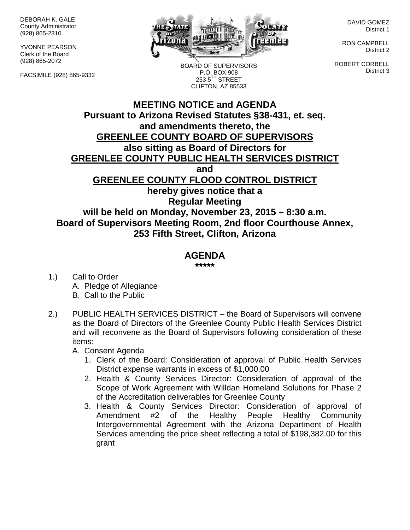DEBORAH K. GALE County Administrator (928) 865-2310

YVONNE PEARSON Clerk of the Board (928) 865-2072

FACSIMILE (928) 865-9332



BOARD OF SUPERVISORS P.O. BOX 908  $253.5$ <sup>TH</sup> STREET CLIFTON, AZ 85533

DAVID GOMEZ District 1

RON CAMPBELL District 2

ROBERT CORBELL District 3

## **MEETING NOTICE and AGENDA Pursuant to Arizona Revised Statutes §38-431, et. seq. and amendments thereto, the GREENLEE COUNTY BOARD OF SUPERVISORS also sitting as Board of Directors for GREENLEE COUNTY PUBLIC HEALTH SERVICES DISTRICT and GREENLEE COUNTY FLOOD CONTROL DISTRICT hereby gives notice that a Regular Meeting will be held on Monday, November 23, 2015 – 8:30 a.m. Board of Supervisors Meeting Room, 2nd floor Courthouse Annex, 253 Fifth Street, Clifton, Arizona**

## **AGENDA**

**\*\*\*\*\***

- 1.) Call to Order A. Pledge of Allegiance B. Call to the Public
- 2.) PUBLIC HEALTH SERVICES DISTRICT the Board of Supervisors will convene as the Board of Directors of the Greenlee County Public Health Services District and will reconvene as the Board of Supervisors following consideration of these items:

A. Consent Agenda

- 1. Clerk of the Board: Consideration of approval of Public Health Services District expense warrants in excess of \$1,000.00
- 2. Health & County Services Director: Consideration of approval of the Scope of Work Agreement with Willdan Homeland Solutions for Phase 2 of the Accreditation deliverables for Greenlee County
- 3. Health & County Services Director: Consideration of approval of Amendment #2 of the Healthy People Healthy Community Intergovernmental Agreement with the Arizona Department of Health Services amending the price sheet reflecting a total of \$198,382.00 for this grant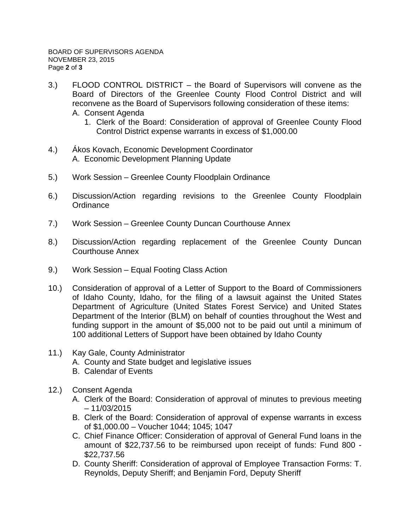- 3.) FLOOD CONTROL DISTRICT the Board of Supervisors will convene as the Board of Directors of the Greenlee County Flood Control District and will reconvene as the Board of Supervisors following consideration of these items: A. Consent Agenda
	- 1. Clerk of the Board: Consideration of approval of Greenlee County Flood Control District expense warrants in excess of \$1,000.00
- 4.) Ákos Kovach, Economic Development Coordinator A. Economic Development Planning Update
- 5.) Work Session Greenlee County Floodplain Ordinance
- 6.) Discussion/Action regarding revisions to the Greenlee County Floodplain **Ordinance**
- 7.) Work Session Greenlee County Duncan Courthouse Annex
- 8.) Discussion/Action regarding replacement of the Greenlee County Duncan Courthouse Annex
- 9.) Work Session Equal Footing Class Action
- 10.) Consideration of approval of a Letter of Support to the Board of Commissioners of Idaho County, Idaho, for the filing of a lawsuit against the United States Department of Agriculture (United States Forest Service) and United States Department of the Interior (BLM) on behalf of counties throughout the West and funding support in the amount of \$5,000 not to be paid out until a minimum of 100 additional Letters of Support have been obtained by Idaho County
- 11.) Kay Gale, County Administrator
	- A. County and State budget and legislative issues
	- B. Calendar of Events
- 12.) Consent Agenda
	- A. Clerk of the Board: Consideration of approval of minutes to previous meeting – 11/03/2015
	- B. Clerk of the Board: Consideration of approval of expense warrants in excess of \$1,000.00 – Voucher 1044; 1045; 1047
	- C. Chief Finance Officer: Consideration of approval of General Fund loans in the amount of \$22,737.56 to be reimbursed upon receipt of funds: Fund 800 - \$22,737.56
	- D. County Sheriff: Consideration of approval of Employee Transaction Forms: T. Reynolds, Deputy Sheriff; and Benjamin Ford, Deputy Sheriff